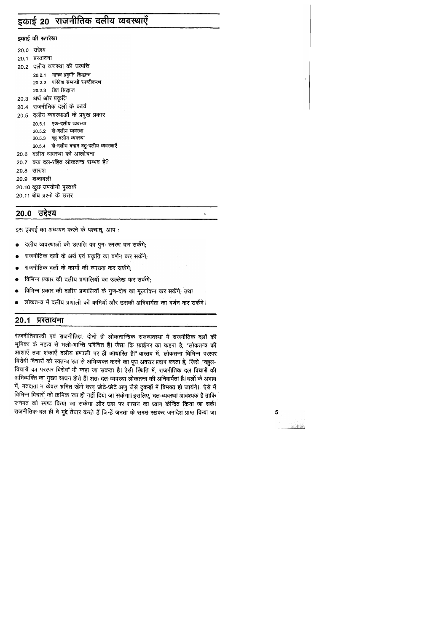# इकाई 20 राजनीतिक दलीय व्यवस्थाएँ

इकाई की रूपरेखा

20.0 उद्देश्य 20.1 प्रस्तावना 20.2 दलीय व्यवस्था की उत्पत्ति 20.2.1 मानव प्रकृति सिद्धान्त 20.2.2 परिवेश सम्बन्धी स्पष्टीकरण 20.2.3 हित सिद्धान्त 20.3 अर्थ और प्रकृति 20.4 राजनीतिक दलों के कार्य 20.5 दलीय व्यवस्थाओं के प्रमुख प्रकार 20.5.1 एक-दलीय व्यवस्था 20.5.2 दो-दलीय व्यवस्था 20.5.3 बहु-दलीय व्यवस्था 20.5.4 दो-दलीय बनाम बहु-दलीय व्यवस्थाएँ 20.6 दलीय व्यवस्था की आलोचना 20.7 क्या दल-रहित लोकतन्त्र सम्भव है? 20.8 सारांश 20.9 शब्दावली 20.10 कुछ उपयोगी पुस्तकें 20.11 बोध प्रश्नों के उत्तर

## 20.0 उद्देश्य

इस इकाई का अध्ययन करने के पश्चात्, आप:

- दलीय व्यवस्थाओं की उत्पत्ति का पुनः स्मरण कर सकेंगे;
- राजनीतिक दलों के अर्थ एवं प्रकृति का वर्णन कर सकेंगे;
- राजनीतिक दलों के कार्यों की व्याख्या कर सकेंगे:
- विभिन्न प्रकार की दलीय प्रणालियों का उल्लेख कर सकेंगे;  $\bullet$
- विभिन्न प्रकार की दलीय प्रणालियों के गुण-दोष का मूल्यांकन कर सकेंगे; तथा
- लोकतन्त्र में दलीय प्रणाली की कमियों और उसकी अनिवार्यता का वर्णन कर सकेंगे।

### 20.1 प्रस्तावना

राजनीतिशास्त्री एवं राजनीतिज्ञ, दोनों ही लोकतान्त्रिक राजव्यवस्था में राजनीतिक दलों की भूमिका के महत्व से भली-भान्ति परिचित हैं। जैसा कि फ़ाईनर का कहना है, "लोकतन्त्र की आशाएँ तथा शंकाएँ दलीय प्रणाली पर ही आधारित हैं।" वास्तव में, लोकतन्त्र विभिन्न परस्पर विरोधी विचारों को स्वतन्त्र रूप से अभिव्यक्त करने का पूरा अवसर प्रदान करता है, जिसे "बहुल-विचारों का परस्पर विरोध" भी कहा जा सकता है। ऐसी स्थिति में, राजनीतिक दल विचारों की अभिव्यक्ति का मुख्य साधन होते हैं। अतः दल-व्यवस्था लोकतन्त्र की अनिवार्यता है। दलों के अभाव में, मतदाता न केवल भ्रमित रहेंगे वरन् छोटे-छोटे अणु जैसे टुकड़ों में विभक्त हो जायंगे। ऐसे में विभिन्न विचारों को क्रमिक रूप ही नहीं दिया जा सकेगा। इसलिए, दल-व्यवस्था आवश्यक है ताकि जनमत को स्पष्ट किया जा सकेगा और उस पर शासन का ध्यान केन्द्रित किया जा सके। राजनीतिक दल ही वे मुद्दे तैयार करते हैं जिन्हें जनता के समक्ष रखकर जनादेश प्राप्त किया जा

 $\overline{5}$ 

 $\bullet$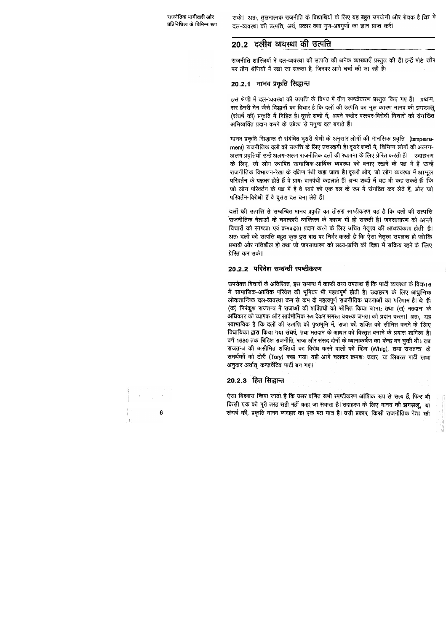सके। अतः, तुलनात्मक राजनीति के विद्यार्थियों के लिए यह बहुत उपयोगी और रोचक है कि वे दल-व्यवस्था की उत्पत्ति, अर्थ, प्रकार तथा गुण-अवगुणों का ज्ञान प्राप्त करें।

## 20.2 दलीय व्यवस्था की उत्पत्ति

राजनीति शास्त्रियों ने दल-व्यवस्था की उत्पत्ति की अनेक व्याख्याएँ प्रस्तुत की हैं। इन्हें मोटे तौर पर तीन श्रेणियों में रखा जा सकता है, जिनपर आगे चर्चा की जा रही है:

## 20.2.1 मानव प्रकृति सिद्धान्त

इस श्रेणी में दल-व्यवस्था की उत्पत्ति के विषय में तीन स्पष्टीकरण प्रस्तुत किए गए हैं। प्रथम, सर हेनरी मेन जैसे विद्धानों का विचार है कि दलों की उत्पत्ति का मूल कारण मानव की झगड़ालू (संघर्ष की) प्रकृति में निहित है। दूसरे शब्दों में, अपने कठोर परस्पर-विरोधी विचारों को संगठित अभिव्यक्ति प्रदान करने के उद्देश्य से मनुष्य दल बनाते हैं।

मानव प्रकृति सिद्धान्त से संबंधित दूसरी श्रेणी के अनुसार लोगों की मानसिक प्रवृत्ति (temperament) राजनीतिक दलों की उत्पत्ति के लिए उत्तरदायी है। दूसरे शब्दों में, विभिन्न लोगों की अत्नग-अलग प्रवृत्तियाँ उन्हें अलग-अलग राजनीतिक दलों की स्थापना के लिए प्रेरित करती हैं। जदाह्नरण के लिए, जो लोग स्थापित सामाजिक-आर्थिक व्यवस्था को बनाए रखने के पक्ष में हैं उन्हें राजनीतिक विभाजन-रेखा के दक्षिण पंथी कहा जाता है। दूसरी ओर, जो लोग व्यवस्था में आमूल परिवर्तन के पक्षधर होते हैं वे प्रायः वामपंथी कहलाते हैं। अन्य शब्दों में यह भी कह सकते हैं कि जो लोग परिवर्तन के पक्ष में हैं वे स्वयं को एक दल के रूप में संगठित कर लेते हैं, और जो परिवर्तन-विरोधी हैं वे दूसरा दल बना लेते हैं।

दलों की उत्पत्ति से सम्बन्धित मानव प्रकृति का तीसरा स्पष्टीकरण यह है कि दलों की उत्पत्ति राजनीतिक नेताओं के चमत्कारी व्यक्तित्त्व के कारण भी हो सकती है। जनसाधारण को अपने विचारों को स्पष्टता एवं क्रमबद्धता प्रदान करने के लिए उचित नेतृत्त्व की आवश्यकता होती है। अतः दलों की उत्पत्ति बहुत कुछ इस बात पर निर्भर करती है कि ऐसा नेतृत्त्व उपलब्ध हो जोकि प्रभावी और गतिशील हो तथा जो जनसाधारण को लक्ष्य-प्राप्ति की दिशा में सक्रिय रहने के लिए प्रेरित कर सके।

### 20.2.2 परिवेश सम्बन्धी स्पष्टीकरण

उपरोक्त विचारों के अतिरिक्त, इस सम्बन्ध में काफ़ी तथ्य उपलब्ध हैं कि पार्टी व्यवस्था के विकास में सामाजिक-आर्थिक परिवेश की भूमिका भी महत्वपूर्ण होती है। उदाहरण के लिए आधुनिक लोकतान्त्रिक दल-व्यवस्था कम से कम दो महत्वपूर्ण राजनीतिक घटनाओं का परिणाम है। ये हैं: (क) निरंकुश राजतन्त्र में राजाओं की शक्तियों को सीमित किया जाना; तथा (ख) मतदान के अधिकार को व्यापक और सार्वभौमिक रूप देकर समस्त वयस्क जनता को प्रदान करना। अतः, यह स्वाभाविक है कि दलों की उत्पत्ति की पृष्ठभूमि में, राजा की शक्ति को सीमित करने के लिए विधायिका द्वारा किया गया संघर्ष, तथा मतदान के आधार को विस्तृत बनाने के प्रयास शामित्न हैं। वर्ष 1680 तक ब्रिटिश राजनीति, राजा और संसद दोनों के ध्यानाकर्षण का केन्द्र बन चुकी थी। तब राजतन्त्र की असीमित शक्तियों का विरोध करने वालों को व्हिग (Whig), तथा राजतन्त्र के समर्थकों को टोरी (Tory) कहा गया। यही आगे चलकर क्रमशः उदार, या लिबरल पार्टी तथा अनुदार अर्थात् कन्ज़र्वेटिव पार्टी बन गए।

## 20.2.3 हित सिद्धान्त

ऐसा विश्वास किया जाता है कि ऊपर वर्णित सभी स्पष्टीकरण आंशिक रूप से सत्य हैं, फिर भी किसी एक को पूरी तरह सही नहीं कहा जा सकता है। उदाहरण के लिए मानव की झगड़ालू, या संघर्ष की, प्रकृति मानव व्यवहार का एक पक्ष मात्र है। उसी प्रकार, किसी राजनीतिक नेता की

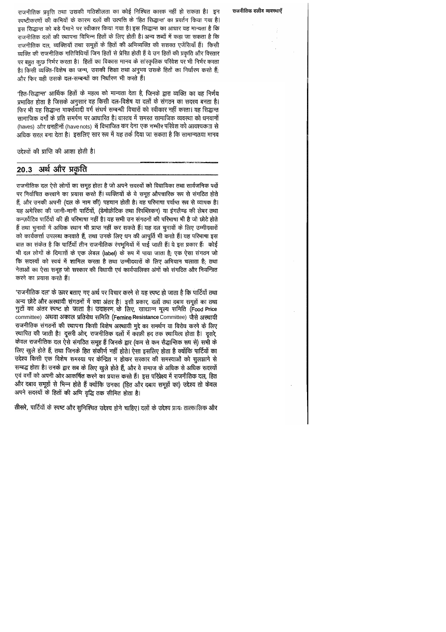राजनीतिक प्रवृत्ति तथा उसकी गतिशीलता का कोई निश्चित कारक नहीं हो सकता है। इन रपष्टीकरणों की कमियों के कारण दलों की उत्पत्ति के 'हित सिद्धान्त' का प्रवर्तन किया गया है। इस सिद्धान्त को बड़े पैमाने पर स्वीकार किया गया है। इस सिद्धान्त का आधार यह मान्यता है कि राजनीतिक दलों की स्थापना विभिन्न हितों के लिए होती है। अन्य शब्दों में कहा जा सकता है कि राजनीतिक दल, व्यक्तियों तथा समूहों के हितों की अभिव्यक्ति की सशक्त एजेंसियाँ हैं। किसी व्यक्ति की राजनीतिक गतिविधियाँ जिन हितों से प्रेरित होती हैं वे उन हितों की प्रकृति और विस्तार पर बहुत कुछ निर्भर करता है। हितों का विकास मानव के सांस्कृतिक परिवेश पर भी निर्भर करता है। किसी व्यक्ति-विशेष का जन्म, उसकी शिक्षा तथा अनुभव उसके हितों का निर्धारण करते हैं; और फिर यही उसके दल-सम्बन्धों का निर्धारण भी करते हैं।

'हित-सिद्धान्त' आर्थिक हितों के महत्व को मान्यता देता है, जिनके द्वारा व्यक्ति का वह निर्णय प्रभावित होता है जिसके अनुसार वह किसी दल-विशेष या दलों के संगठन का सदस्य बनता है। फिर भी यह सिद्धान्त मार्क्सवादी वर्ग संघर्ष सम्बन्धी विचारों को स्वीकार नहीं करता। यह सिद्धान्त सामाजिक वर्गों के प्रति समर्पण पर आधारित है। वास्तव में समस्त सामाजिक व्यवस्था को धनवानों (haves) और धनहीनों (havenots) में विभाजित कर देना एक गम्भीर परिवेश को आवश्यकता से अधिक सरल बना देता है। इसलिए सार रूप में यह तर्क दिया जा सकता है कि सामान्यतया मानव

उद्देश्यों की प्राप्ति की आशा होती है।

# 20.3 अर्थ और प्रकृति

राजनीतिक दल ऐसे लोगों का समूह होता है जो अपने सदस्यों को विधायिका तथा सार्वजनिक पदों पर निर्वाचित करवाने का प्रयास करते हैं। व्यक्तियों के ये समूह औपचारिक रूप से संगठित होते हैं, और उनकी अपनी (दल के नाम की) पहचान होती है। यह परिभाषा पर्याप्त रूप से व्यापक है। यह अमेरिका की जानी-मानी पार्टियों, (डेमोक्रेटिक तथा रिपब्लिकन) या इंगलैण्ड की लेबर तथा कन्ज़र्वेटिव पार्टियों की ही परिभाषा नहीं है। यह सभी उन संगठनों की परिभाषा भी है जो छोटे होते हैं तथा चुनावों में अधिक स्थान भी प्राप्त नहीं कर सकते हैं। यह दल चुनावों के लिए उम्मीदवारों को कार्यकर्त्ता उपलब्ध करवाते हैं, तथा उनके लिए धन की आपूर्ति भी करते हैं। यह परिभाषा इस बात का संकेत है कि पार्टियाँ तीन राजनीतिक रंगभूमियों में पाई जाती हैं। ये इस प्रकार हैं: कोई भी दल लोगों के दिमाग़ों के एक लेबल (label) के रूप में पाया जाता है; एक ऐसा संगठन जो कि सदस्यों को स्वयं में शामिल करता है तथा उम्मीदवारों के लिए अभियान चलाता है; तथा नेताओं का ऐसा समूह जो सरकार की विधायी एवं कार्यपालिका अंगों को संगठित और नियन्त्रित करने का प्रयास करते हैं।

'राजनीतिक दल' के ऊपर बताए गए अर्थ पर विचार करने से यह स्पष्ट हो जाता है कि पार्टियों तथा अन्य छोटे और अस्थायी संगठनों में क्या अंतर है। इसी प्रकार, दलों तथा दबाव समूहों का तथा गुटों का अंतर स्पष्ट हो जाता है। उदाहरण के लिए, खाद्यान्न मूल्य समिति (Food Price committee) अथवा अकाल प्रतिरोध समिति (Femine Resistance Committee) जैसे अस्थायी राजनीतिक संगठनों की स्थापना किसी विशेष अस्थायी मुद्दे का समर्थन या विरोध करने के लिए स्थापित की जाती है। दूसरी ओर, राजनीतिक दलों में काफ़ी हद तक स्थायित्व होता है। दूसरे, केवल राजनीतिक दल ऐसे संगठित समूह हैं जिनके द्वार (कम से कम सैद्धान्तिक रूप से) सभी के लिए खुले होते हैं, तथा जिनके हित संकीर्ण नहीं होते। ऐसा इसलिए होता है क्योंकि पार्टियों का उद्देश्य किसी एक विशेष समस्या पर केन्द्रित न होकर सरकार की समस्याओं को सुलझाने से सम्बद्ध होता है। उनके द्वार सब के लिए खुले होते हैं, और वे समाज के अधिक से अधिक सदस्यों एवं वर्गों को अपनी ओर आकर्षित करने का प्रयास करते हैं। इस परिप्रेक्ष्य में राजनीतिक दल, हित और दबाव समूहों से भिन्न होते हैं क्योंकि उनका (हित और दबाव समूहों का) उद्देश्य तो केवल अपने सदस्यों के हितों की अभि वृद्धि तक सीमित होता है।

तीसरे, पार्टियों के स्पष्ट और सुनिश्चित उद्देश्य होने चाहिए। दलों के उद्देश्य प्रायः तात्कालिक और

#### राजनीतिक दलीय व्यवस्थाएँ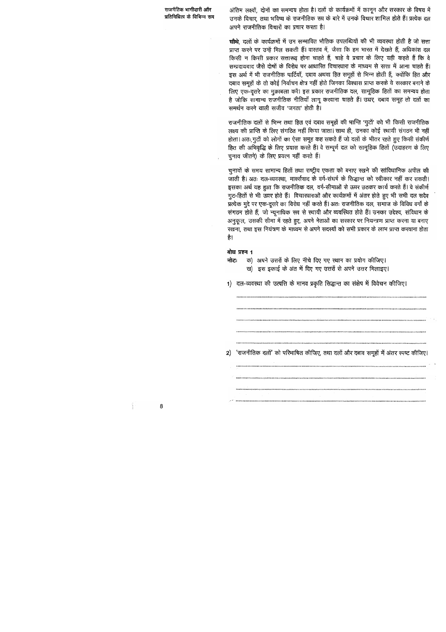अंतिम लक्ष्यों, दोनों का समन्वय होता है। दलों के कार्यक्रमों में कानून और सरकार के विषय में उनके विचार, तथा भविष्य के राजनीतिक रूप के बारे में उनके विचार शामिल होते हैं। प्रत्येक दल अपने राजनीतिक विचारों का प्रचार करता है।

चौथे, दलों के कार्यक्रमों में उन सम्भावित भौतिक उपलब्धियों की भी व्यवस्था होती है जो सत्ता प्राप्त करने पर उन्हें मिल सकती हैं। वास्तव में, जैसा कि हम भारत में देखते हैं, अधिकांश दल किसी न किसी प्रकार सत्तारूढ़ होना चाहते हैं, चाहे वे प्रचार के लिए यही कहते हैं कि वे सम्प्रदायवाद जैसे दोषों के विरोध पर आधारित विचारधारा के माध्यम से सत्ता में आना चाहते हैं। इस अर्थ में भी राजनीतिक पार्टियाँ, दबाव अथवा हित समूहों से भिन्न होती हैं, क्योंकि हित और दबाव समूहों के तो कोई निर्वाचन क्षेत्र नहीं होते जिनका विश्वास प्राप्त करके वे सरकार बनाने के लिए एक-दूसरे का मुक़ाबला करें। इस प्रकार राजनीतिक दल, सामूहिक हितों का समन्वय होता है जोकि सामान्य राजनीतिक नीतियाँ लागू करवाना चाहते हैं। उधर, दबाव समूह तो दलों का समर्थन करने वाली सजीव 'जनता' होती है।

राजनीतिक दलों से भिन्न तथा हित एवं दबाव समूहों की भान्ति 'गुटों' को भी किसी राजनीतिक लक्ष्य की प्राप्ति के लिए संगठित नहीं किया जाता। साथ ही, उनका कोई स्थायी संगठन भी नहीं होता। अतः, गुटों को लोगों का ऐसा समूह कह सकते हैं जो दलों के भीतर रहते हुए किसी संकीर्ण हित की अभिवृद्धि के लिए प्रयास करते हैं। वे सम्पूर्ण दल को सामूहिक हितों (उदाहरण के लिए चुनाव जीतने) के लिए प्रयत्न नहीं करते हैं।

चुनावों के समय सामान्य हितों तथा राष्ट्रीय एकता को बनाए रखने की सांविधानिक अपील की जाती है। अतः दल-व्यवस्था, मार्क्सवाद के वर्ग-संघर्ष के सिद्धान्त को स्वीकार नहीं कर सकती। इसका अर्थ यह हुआ कि राजनीतिक दल, वर्ग-सीमाओं से ऊपर उठकर कार्य करते हैं। वे संकीर्ण गुट-हितों से भी ऊपर होते हैं। विचारधाराओं और कार्यक्रमों में अंतर होते हुए भी सभी दल सदैव प्रत्येक मुद्दे पर एक-दूसरे का विरोध नहीं करते हैं। अतः राजनीतिक दल, समाज के विविध वर्गों के संगठन होते हैं, जो न्यूनाधिक रूप से स्थायी और व्यवस्थित होते हैं। उनका उद्देश्य, संविधान के अनुकूल, उसकी सीमा में रहते हुए, अपने नेताओं का सरकार पर नियन्त्रण प्राप्त करना या बनाए रखना, तथा इस नियंत्रण के माध्यम से अपने सदस्यों को सभी प्रकार के लाभ प्राप्त करवाना होता है।

#### बोध प्रश्न 1

क) अपने उत्तरों के लिए नीचे दिए गए स्थान का प्रयोग कीजिए। नोटः

ख) इस इकाई के अंत में दिए गए उत्तरों से अपने उत्तर मिलाइए।

1) दल-व्यवस्था की उत्पत्ति के मानव प्रकृति सिद्धान्त का संक्षेप में विवेचन कीजिए।

2) 'राजनीतिक दलों' को परिभाषित कीजिए, तथा दलों और दबाव समूहों में अंतर स्पष्ट कीजिए

8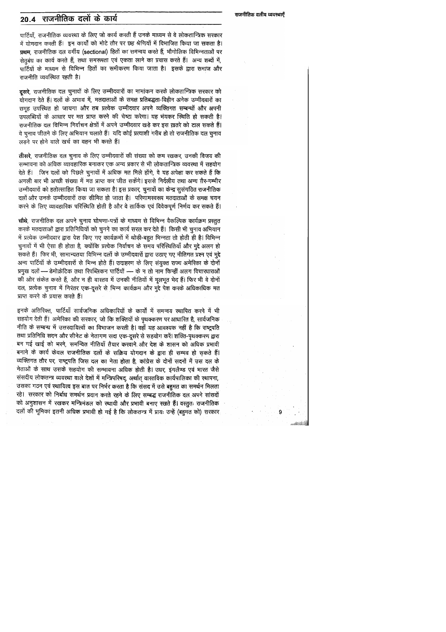## 20.4 राजनीतिक दलो के कार्य

पार्टियाँ, राजनीतिक व्यवस्था के लिए जो कार्य करती हैं उनके माध्यम से वे लोकतान्त्रिक सरकार में योगदान करती हैं। इन कार्यों को मोटे तौर पर छह श्रेणियों में विभाजित किया जा सकता है। प्रथम, राजनीतिक दल वर्गीय (sectional) हितों का समन्वय करते हैं, भौगोलिक विभिन्नताओं पर सेतुबंध का कार्य करते हैं, तथा समरूपता एवं एकता लाने का प्रयास करते हैं। अन्य शब्दों में, पार्टियों के माध्यम से विभिन्न हितों का समीकरण किया जाता है। इसके द्वारा समाज और राजनीति व्यवस्थित रहती है।

**दूसरे**, राजनीतिक दल चुनावों के लिए उम्मीदवारों का नामांकन करके लोकतान्त्रिक सरकार को योगदान देते हैं। दलों के अभाव में, मतदाताओं के समक्ष प्रतिबद्धता-विहीन अनेक उम्मीदवारों का समूह उपस्थित हो जायगा और तब प्रत्येक उम्मीदवार अपने व्यक्तिगत सम्बन्धों और अपनी उपलब्धियों के आधार पर मत प्राप्त करने की चेष्टा करेगा। यह भंयकर स्थिति हो सकती है। राजनीतिक दल विभिन्न निर्वाचन क्षेत्रों में अपने उम्मीदवार खड़े कर इस ख़तरे को टाल सकते हैं। वे चुनाव जीतने के लिए अभियान चलाते हैं। यदि कोई प्रत्याशी गरीब हो तो राजनीतिक दल चुनाव लड़ने पर होने वाले खर्च का वहन भी करते हैं।

तीसरे, राजनीतिक दल चुनाव के लिए उम्मीदवारों की संख्या को कम रखकर, उनकी विजय की सम्भावना को अधिक व्यावहारिक बनाकर एक अन्य प्रकार से भी लोकतान्त्रिक व्यवस्था में सहयोग देते हैं। जिन दलों को पिछले चुनावों में अधिक मत मिले होंगे, वे यह अपेक्षा कर सकते हैं कि अगली बार भी अच्छी संख्या में मत प्राप्त कर जीत सकेंगे। इससे निर्दलीय तथा अन्य ग़ैर-गम्भीर उम्मीदवारों को हतोत्साहित किया जा सकता है। इस प्रकार, चुनावों का केन्द्र सुसंगठित राजनीतिक दलों और उनके उम्मीदवारों तक सीमित हो जाता है। परिणामस्वरूप मतदाताओं के समक्ष चयन करने के लिए व्यावहारिक परिस्थिति होती है और वे तार्किक एवं विवेकपूर्ण निर्णय कर सकते हैं।

चौथे, राजनीतिक दल अपने चुनाव घोषणा-पत्रों के माध्यम से विभिन्न वैकल्पिक कार्यक्रम प्रस्तुत करके मतदाताओं द्वारा प्रतिनिधियों को चुनने का कार्य सरल कर देते हैं। किसी भी चुनाव अभियान में प्रत्येक उम्मीदवार द्वारा पेश किए गए कार्यक्रमों में थोड़ी-बहुत भिन्नता तो होती ही है। विभिन्न चुनावों में भी ऐसा ही होता है, क्योंकि प्रत्येक निर्वाचन के समय परिस्थितियाँ और मुद्दे अलग हो सकते हैं। फिर भी, सामान्यतया विभिन्न दलों के उम्मीदवारों द्वारा उठाए गए नीतिगत प्रश्न एवं मुद्दे अन्य पार्टियों के उम्मीदवारों से भिन्न होते हैं। उदाहरण के लिए संयुक्त राज्य अमेरिका के दोनों प्रमुख दलों — डेमोक्रेटिक तथा रिपब्लिकन पार्टियों — के न तो नाम किन्हीं अलग विचारधाराओं की ओर संकेत करते हैं, और न ही वास्तव में उनकी नीतियों में मूलभूत भेद हैं। फिर भी वे दोनों दल, प्रत्येक चुनाव में निरंतर एक-दूसरे से भिन्न कार्यक्रम और मुद्दे पेश करके अधिकाधिक मत प्राप्त करने के प्रयास करते हैं।

इनके अतिरिक्त, पार्टियाँ सार्वजनिक अधिकारियों के कार्यों में समन्वय स्थापित करने में भी सहयोग देती हैं। अमेरिका की सरकार, जो कि शक्तियों के पृथक्करण पर आधारित है, सार्वजनिक नीति के सम्बन्ध में उत्तरदायित्वों का विभाजन करती है। वहाँ यह आवश्यक नहीं है कि राष्ट्रपति तथा प्रतिनिधि सदन और सीनेट के नेतागण सदा एक-दूसरे से सहयोग करें। शक्ति-पृथक्करण द्वारा बन गई खाई को भरने, समन्वित नीतियाँ तैयार करवाने और देश के शासन को अधिक प्रभावी बनाने के कार्य केवल राजनीतिक दलों के सक्रिय योगदान के द्वारा ही सम्भव हो सकते हैं। व्यक्तिगत तौर पर, राष्ट्रपति जिस दल का नेता होता है, कांग्रेस के दोनों सदनों में उस दल के नेताओं के साथ उसके सहयोग की सम्भावना अधिक होती है। उधर, इंगलैण्ड एवं भारत जैसे संसदीय लोकतन्त्र व्यवस्था वाले देशों में मन्त्रिपरिषद्, अर्थात् वास्तविक कार्यपालिका की स्थापना, उसका गठन एवं स्थायित्व इस बात पर निर्भर करता है कि संसद में उसे बहुमत का समर्थन मिलता रहे। सरकार को निर्बाध समर्थन प्रदान करते रहने के लिए सम्बद्ध राजनीतिक दल अपने सांसदों को अनुशासन में रखकर मन्त्रिमंडल को स्थायी और प्रभावी बनाए रखते हैं। वस्तुतः राजनीतिक दलों की भूमिका इतनी अधिक प्रभावी हो गई है कि लोकतन्त्र में प्रायः उन्हें (बहुमत को) सरकार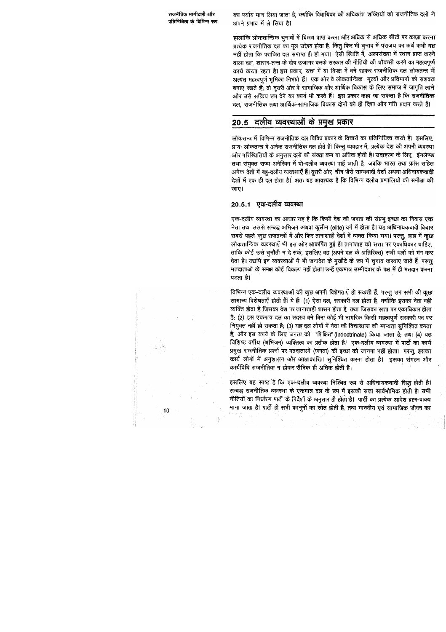का पर्याय मान लिया जाता है, क्योंकि विधायिका की अधिकांश शक्तियों को राजनीतिक दलों ने अपने प्रभाव में ले लिया है।

हालांकि लोकतान्त्रिक चुनावों में विजय प्राप्त करना और अधिक से अधिक सीटों पर क़ब्ज़ा करना प्रत्येक राजनीतिक दल का मूल उद्देश्य होता है, किंतु फिर भी चुनाव में पराजय का अर्थ कभी यह नहीं होता कि पराजित दल समाप्त ही हो गया। ऐसी स्थिति में, अल्पसंख्या में स्थान प्राप्त करने वाला दल, शासन-तन्त्र के दोष उजागर करके सरकार की नीतियों की चौकसी करने का महत्वपूर्ण कार्य करता रहता है। इस प्रकार, सत्ता में या विपक्ष में बने रहकर राजनीतिक दल लोकतन्त्र में अत्यंत महत्वपूर्ण भूमिका निभाते हैं। एक ओर वे लोकतान्त्रिक मूल्यों और प्रतिमानों को सशक्त बनाए रखते हैं; तो दूसरी ओर वे सामाजिक और आर्थिक विकास के लिए समाज में जागृति लाने और उसे सक्रिय रूप देने का कार्य भी करते हैं। इस प्रकार कहा जा सकता है कि राजनीतिक दल, राजनीतिक तथा आर्थिक-सामाजिक विकास दोनों को ही दिशा और गति प्रदान करते हैं।

# 20.5 दलीय व्यवस्थाओं के प्रमुख प्रकार

लोकतन्त्र में विभिन्न राजनीतिक दल विविध प्रकार के विचारों का प्रतिनिधित्त्व करते हैं। इसलिए, प्रायः लोकतन्त्र में अनेक राजनीतिक दल होते हैं। किन्तु व्यवहार में, प्रत्येक देश की अपनी व्यवस्था और परिस्थितियों के अनुसार दलों की संख्या कम या अधिक होती है। उदाहरण के लिए, इंगलैण्ड तथा संयुक्त राज्य अमेरिका में दो-दलीय व्यवस्था पाई जाती है, जबकि भारत तथा फ्रांस सहित अनेक देशों में बहु-दलीय व्यवस्थाएँ हैं। दूसरी ओर, चीन जैसे साम्यवादी देशों अथवा अधिनायकवादी देशों में एक ही दल होता है। अतः यह आवश्यक है कि विभिन्न दलीय प्रणालियों की समीक्षा की जाए।

## 20.5.1 एक-दलीय व्यवस्था

एक-दलीय व्यवस्था का आधार यह है कि किसी देश की जनता की संप्रभु इच्छा का निवास एक नेता तथा उससे सम्बद्ध अभिजन अथवा कुलीन (elite) वर्ग में होता है। यह अधिनायकवादी विचार सबसे पहले कुछ राजतन्त्रों में और फिर तानाशाही देशों में व्यक्त किया गया। परन्तु, हाल में कुछ लोकतान्त्रिक व्यवस्थाएँ भी इस ओर आकर्षित हुई हैं। तानाशाह को सत्ता पर एकाधिकार चाहिए, ताकि कोई उसे चुनौती न दे सके, इसलिए वह (अपने दल के अतिरिक्त) सभी दलों को भंग कर देता है। यद्यपि इन व्यवस्थाओं में भी जनादेश के मुखौटे के रूप में चुनाव करवाए जाते हैं, परन्तु मतदाताओं के समक्ष कोई विकल्प नहीं होता। उन्हें एकमात्र उम्मीदवार के पक्ष में ही मतदान करना पड़ता है।

विभिन्न एक-दलीय व्यवस्थाओं की कुछ अपनी विशेषताएँ हो सकती हैं, परन्तु उन सभी की कुछ सामान्य विशेषताएँ होती हैं। ये हैं: (1) ऐसा दल, सरकारी दल होता है, क्योंकि इसका नेता वही व्यक्ति होता है जिसका देश पर तानाशाही शासन होता है, तथा जिसका सत्ता पर एकाधिकार होता है; (2) इस एकमात्र दल का सदस्य बने बिना कोई भी नागरिक किसी महत्वपूर्ण सरकारी पद पर नियुक्त नहीं हो सकता है; (3) यह दल लोगों में नेता की विचारधारा की मान्यता सुनिश्चित करता है, और इस कार्य के लिए जनता को "शिक्षित" (indoctrinate) किया जाता है; तथा (4) यह विशिष्ट वर्गीय (अभिजन) व्यक्तित्व का प्रतीक होता है। एक-दलीय व्यवस्था में पार्टी का कार्य प्रमुख राजनीतिक प्रश्नों पर मतदाताओं (जनता) की इच्छा को जानना नहीं होता। परन्तु, इसका कार्य लोगों में अनुशासन और आज्ञाकारिता सुनिश्चित करना होता है। इसका संगठन और कार्यविधि राजनीतिक न होकर सैनिक ही अधिक होती है।

इसलिए यह स्पष्ट है कि एक-दलीय व्यवस्था निश्चित रूप से अधिनायकवादी सिद्ध होती है। सम्बद्ध राजनीतिक व्यवस्था के एकमात्र दल के रूप में इसकी सत्ता सार्वभौमिक होती है। सभी नीतियों का निर्धारण पार्टी के निर्देशों के अनुसार ही होता है। पार्टी का प्रत्येक आदेश ब्रह्म-वाक्य माना जाता है। पार्टी ही सभी कानूनों का स्रोत होती है, तथा मानवीय एवं सामाजिक जीवन का

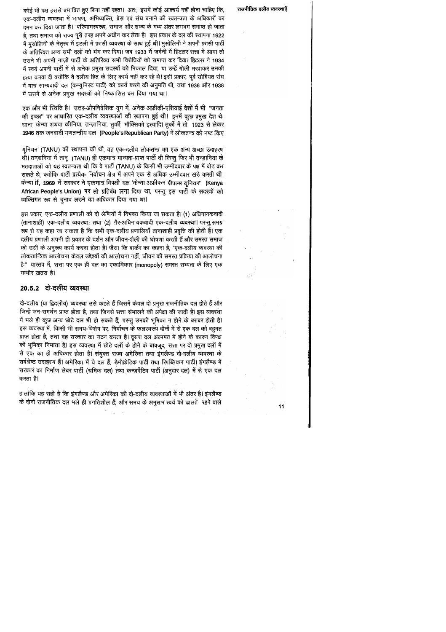कोई भी पक्ष इससे प्रभावित हुए बिना नहीं रहता। अतः, इसमें कोई आश्चर्य नहीं होना चाहिए कि, एक-दलीय व्यवस्था में भाषण, अभिव्यक्ति, प्रेस एवं संघ बनाने की स्वतन्त्रता के अधिकारों का दमन कर दिया जाता है। परिणामस्वरूप, समाज और राज्य के मध्य अंतर लगभग समाप्त हो जाता है. तथा समाज को राज्य पूरी तरह अपने अधीन कर लेता है। इस प्रकार के दल की स्थापना 1922 में मुसोलिनी के नेतृत्त्व में इटली में फ़ासी व्यवस्था के साथ हुई थी। मुसोलिनी ने अपनी फ़ासी पार्टी के अतिरिक्त अन्य सभी दलों को भंग कर दिया। जब 1933 में जर्मनी में हिटलर सत्ता में आया तो उसने भी अपनी नाज़ी पार्टी के अतिरिक्त सभी विरोधियों को समाप्त कर दिया। हिटलर ने 1934 में स्वयं अपनी पार्टी में से अनेक प्रमुख सदस्यों को निकाल दिया, या उन्हें गोली मरवाकर उनकी हत्या करवा दी क्योंकि वे दलीय हित के लिए कार्य नहीं कर रहे थे। इसी प्रकार, पूर्व सोवियत संघ में मात्र साम्यवादी दल (कम्युनिस्ट पार्टी) को कार्य करने की अनुमति थी, तथा 1936 और 1938 में उसमें से अनेक प्रमुख सदस्यों को निष्कासित कर दिया गया था।

एक और भी स्थिति है। उत्तर-औपनिवेशिक युग में, अनेक अफ्रीकी-एशियाई देशों में भी "जनता की इच्छा" पर आधारित एक-दलीय व्यवस्थाओं की स्थापना हुई थी। इनमें कुछ प्रमुख देश थे: घाना, केन्या अथवा कीनिया, तन्ज़ानिया, तुर्की, मौक्सिको इत्यादि। तुर्की में तो 1923 से लेकर 1946 तक जनवादी गणतन्त्रीय दल (People's Republican Party) ने लोकतन्त्र को नष्ट किए

यूनियन' (TANU) की स्थापना की थी, वह एक-दलीय लोकतन्त्र का एक अन्य अच्छा उदाहरण थी। तन्ज़ानिया में तानू) (TANU) ही एकमात्र मान्यता-प्राप्त पार्टी थी किन्तु फिर भी तन्ज़ानिया के मतदाताओं को यह स्वतन्त्रता थी कि वे पार्टी (TANU) के किसी भी उम्मीदवार के पक्ष में वोट कर सकते थे, क्योंकि पार्टी प्रत्येक निर्वाचन क्षेत्र में अपने एक से अधिक उम्मीदवार खड़े करती थी। केन्या if, 1969 में सरकार ने एकमात्र विपक्षी दल 'केन्या अफ्रीकन पीपल्स यूनियन' (Kenya African People's Union) पर तो प्रतिबंध लगा दिया था, परन्तु इस पार्टी के सदस्यों को व्यक्तिगत रूप से चुनाव लड़ने का अधिकार दिया गया था।

इस प्रकार, एक-दलीय प्रणाली को दो श्रेणियों में विभक्त किया जा सकता है। (1) अधिनायकवादी (तानाशाही) एक-दलीय व्यवस्था; तथा (2) ग़ैर-अधिनायकवादी एक-दलीय व्यवस्था। परन्तु, समग्र रूप से यह कहा जा सकता है कि सभी एक-दलीय प्रणालियाँ तानाशाही प्रवृत्ति की होती हैं। एक दलीय प्रणाली अपनी ही प्रकार के दर्शन और जीवन-शैली की घोषणा करती हैं और समस्त समाज को उसी के अनुरूप कार्य करना होता है। जैसा कि बार्कर का कहना है, "एक-दलीय व्यवस्था की लोकतान्त्रिक आलोचना केवल उद्देश्यों की आलोचना नहीं, जीवन की समस्त प्रक्रिया की आलोचना है।" वास्तव में, सत्ता पर एक ही दल का एकाधिकार (monopoly) समस्त सभ्यता के लिए एक गम्भीर ख़तरा है।

### 20.5.2 दो-दलीय व्यवस्था

दो-दलीय (या द्विदलीय) व्यवस्था उसे कहते हैं जिसमें केवल दो प्रमुख राजनीतिक दल होते हैं और जिन्हें जन-समर्थन प्राप्त होता है, तथा जिनसे सत्ता संभालने की अपेक्षा की जाती है। इस व्यवस्था में भले ही कुछ अन्य छोटे दल भी हो सकते हैं, परन्तु उनकी भूमिका न होने के बराबर होती है। इस व्यवस्था में, किसी भी समय-विशेष पर, निर्वाचन के फलस्वरूप दोनों में से एक दल को बहुमत प्राप्त होता है, तथा वह सरकार का गठन करता है। दूसरा दल अल्पमत में होने के कारण विपक्ष की भूमिका निभाता है। इस व्यवस्था में छोटे दलों के होने के बावजूद, सत्ता पर दो प्रमुख दलों में से एक का ही अधिकार होता है। संयुक्त राज्य अमेरिका तथा इंगलैण्ड दो-दलीय व्यवस्था के सर्वश्रेष्ठ उदाहरण हैं। अमेरिका में ये दल हैं; डेमोक्रेटिक पार्टी तथा रिपब्लिकन पार्टी। इंगलैण्ड में सरकार का निर्माण लेबर पार्टी (श्रमिक दल) तथा कन्ज़र्वेटिव पार्टी (अनुदार दल) में से एक दल करता है।

हालांकि यह सही है कि इंगलैण्ड और अमेरिका की दो-दलीय व्यवस्थाओं में भी अंतर है। इंगलैण्ड के दोनों राजनीतिक दल भले ही प्रगतिशील हैं, और समय के अनुसार स्वयं को ढालते रहने वाले

राजनीतिक दलीय व्यवस्थाएँ

 $11$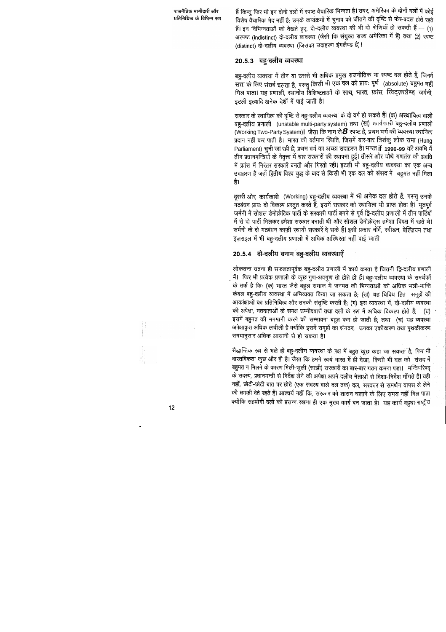हैं किन्तु फिर भी इन दोनों दलों में स्पष्ट वैचारिक भिन्नता है। उधर, अमेरिका के दोनों दलों में कोई विशेष वैचारिक भेद नहीं है; उनके कार्यक्रमों में चुनाव को जीतने की दृष्टि से फेर-बदल होते रहते हैं। इन विभिन्नताओं को देखते हुए, दो-दलीय व्यवस्था की भी दो श्रेणियाँ हो सकती हैं ... (1) अरपष्ट (indistinct) दो-दलीय व्यवस्था (जैसी कि संयुक्त राज्य अमेरिका में है) तथा (2) स्पष्ट (distinct) दो-दलीय व्यवस्था (जिसका उदाहरण इंगलैण्ड है)।

#### 20.5.3 बहु-दलीय व्यवस्था

बहु-दलीय व्यवस्था में तीन या उससे भी अधिक प्रमुख राजनीतिक या स्पष्ट दल होते हैं, जिनमें सत्ता के लिए संघर्ष चलता है, परन्तु किसी भी एक दल को प्रायः पूर्ण (absolute) बहुमत नहीं मिल पाता। यह प्रणाली, स्थानीय विशिष्टताओं के साथ, भारत, फ्रांस, स्विट्ज़रलैण्ड, जर्मनी, इटली इत्यादि अनेक देशों में पाई जाती है।

सरकार के स्थायित्व की दृष्टि से बहु-दलीय व्यवस्था के दो वर्ग हो सकते हैं। (क) अस्थायित्व वाली बहु-दलीय प्रणाली (unstable multi-party system) तथा (ख) कार्यकारी बहु-दलीय प्रणाली (Working Two-Party System)। जैसा कि नाम से **8** स्पष्ट है, प्रथम वर्ग की व्यवस्था स्थायित्व प्रदान नहीं कर पाती है। भारत की वर्तमान स्थिति, जिसमें बार-बार त्रिशंकु लोक सभा (Hung Parliament) चुनी जा रही है, प्रथम वर्ग का अच्छा उदाहरण है। भारत if 1996-99 की अवधि में तीन प्रधानमन्त्रियों के नेतृत्त्व में चार सरकारों की स्थापना हुई। तीसरे और चौथे गणतंत्र की अवधि में फ्रांस में निरंतर सरकारें बनती और गिरती रहीं। इटली भी बहु-दलीय व्यवस्था का एक अन्य उदाहरण है जहाँ द्वितीय विश्व युद्ध के बाद से किसी भी एक दल को संसद में बहुमत नहीं मिला है।

दूसरी ओर, कार्यकारी (Working) बहु-दलीय व्यवस्था में भी अनेक दल होते हैं, परन्तु उनके गठबंधन प्रायः दो विकल्प प्रस्तुत करते हैं, इसमें सरकार को स्थायित्व भी प्राप्त होता है। भूतपूर्व जर्मनी में सोशल डेमोक्रेटिक पार्टी के सरकारी पार्टी बनने से पूर्व ट्वि-दलीय प्रणाली में तीन पार्टियों में से दो पार्टी मिलकर हमेशा सरकार बनाती थी और सोशल डेमोक्रेट्स हमेशा विपक्ष में रहते थे। जर्मनी के दो गठबंधन काफ़ी स्थायी सरकारें दे सके हैं। इसी प्रकार नॉर्वे, स्वीडन, बेल्ज़ियम तथा इज़राइल में भी बहु-दलीय प्रणाली में अधिक अख्थिरता नहीं पाई जाती।

# 20.5.4 दो-दलीय बनाम बहु-दलीय व्यवस्थाएँ

लोकतन्त्र उतना ही सफलतापूर्वक बहु-दलीय प्रणाली में कार्य करता है जितनी ट्वि-दलीय प्रणाली में। फिर भी प्रत्येक प्रणाली के कुछ गुण-अवगुण तो होते ही हैं। बहु-दलीय व्यवस्था के समर्थकों के तर्क है कि: (क) भारत जैसे बहुल समाज में जनमत की भिन्नताओं को अधिक भली-भान्ति केवल बहु-दलीय व्यवस्था में अभिव्यक्त किया जा सकता है; (ख) यह विविध हित समूहों की आकांक्षाओं का प्रतिनिधित्व और उनकी संतुष्टि करती है; (ग) इस व्यवस्था में, दो-दलीय व्यवस्था की अपेक्षा, मतदाताओं के समक्ष उम्मीदवारों तथा दलों के रूप में अधिक विकल्प होते हैं; (घ) इसमें बहुमत की मनमानी करने की सम्भावना बहुत कम हो जाती है; तथा (च) यह व्यवस्था अपेक्षाकृत अधिक लचीली है क्योंकि इसमें समूहों का संगठन, उनका एकीकरण तथा पृथकीकरण समयानुसार अधिक आसानी से हो सकता है।

सैद्धान्तिक रूप से भले ही बहु-दलीय व्यवस्था के पक्ष में बहुत कुछ कहा जा सकता है, फिर भी वास्तविकता कुछ और ही है। जैसा कि हमने स्वयं भारत में ही देखा, किसी भी दल को संसद में बहुमत न मिलने के कारण मिली-जुली (साझी) सरकारों का बार-बार गठन करना पड़ा। मन्त्रिपरिषद् के सदस्य, प्रधानमन्त्री से निर्देश लेने की अपेक्षा अपने दलीय नेताओं से दिशा-निर्देश माँगते हैं। यही नहीं, छोटी-छोटी बात पर छोटे (एक सदस्य वाले दल तक) दल, सरकार से समर्थन वांपस ले लेने की धमकी देते रहते हैं। आश्चर्य नहीं कि, सरकार को शासन चलाने के लिए समय नहीं मिल पाता क्योंकि सहयोगी दलों को प्रसन्न रखना ही एक मुख्य कार्य बन जाता है। यह कार्य बहुधा राष्ट्रीय

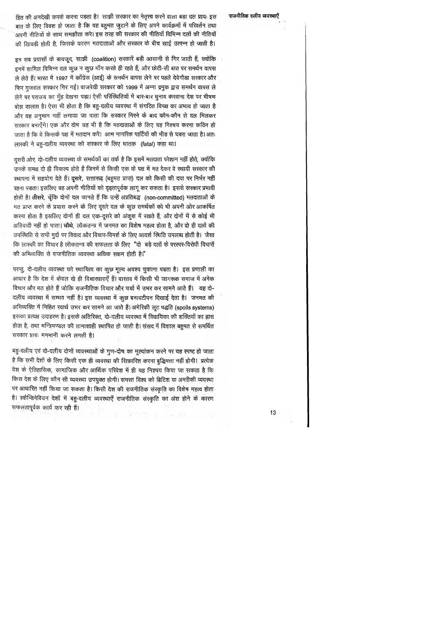#### राजनीतिक दलीय व्यवस्थाएँ

हित की अनदेखी करके करना पड़ता है। साझी सरकार का नेतृत्त्व करने वाला बड़ा दल प्रायः इस बात के लिए विवश हो जाता है कि वह बहुमत जुटाने के लिए अपने कार्यक्रमों में परिवर्तन तथा अपनी नीतियों के साथ समझौता करे। इस तरह की सरकार की नीतियाँ विभिन्न दलों की नीतियों की खिचड़ी होती है, जिसके कारण मतदाताओं और सरकार के बीच खाई उत्पन्न हो जाती है।

इन सब प्रयासों के बावजूद, साझी (coalition) सरकारें बड़ी आसानी से गिर जाती हैं, क्योंकि इनमें शामिल विभिन्न दल कुछ न कुछ माँग करते ही रहते हैं, और छोटी-सी बात पर समर्थन वापस ले लेते हैं। भारत में 1997 में काँग्रेस (आई) के समर्थन वापस लेने पर पहले देवेगौड़ा सरकार और फिर गुजराल सरकार गिर गई। वाजपेयी सरकार को 1999 में अन्ना द्रमुक द्वारा समर्थन वापस ले लेने पर पराजय का मुँह देखना पड़ा। ऐसी परिस्थितियों में बार-बार चुनाव करवाना देश पर भीषण बोझ ड़ालता है। ऐसा भी होता है कि बहु-दलीय व्यवस्था में संगठित विपक्ष का अभाव हो जाता है और यह अनुमान नहीं लगाया जा पाता कि सरकार गिरने के बाद कौन-कौन से दल मिलकर सरकार बनाएँगे। एक और दोष यह भी है कि मतदाताओं के लिए यह निश्चय करना कठिन हो जाता है कि वे किसके पक्ष में मतदान करें। आम नागरिक पार्टियों की भीड़ से घबरा जाता है। अत: लास्की ने बहु-दलीय व्यवस्था को सरकार के लिए घातक़ (fatal) कहा था।

दूसरी ओर, दो-दलीय व्यवस्था के समर्थकों का तर्क है कि इसमें मतदाता परेशान नहीं होते, क्योंकि उनके समक्ष दो ही विकल्प होते हैं जिनमें से किसी एक के पक्ष में मत देकर वे स्थायी सरकार की रथापना में सहयोग देते हैं। दूसरे, सत्तारूढ़ (बहुमत प्राप्त) दल को किसी की दया पर निर्भर नहीं रहना पड़ता। इसलिए वह अपनी नीतियों को दृढ़तापूर्वक लागू कर सकता है। इससे सरकार प्रभावी होती है। तीसरे, चूँकि दोनों दल जानते हैं कि उन्हें अप्रतिबद्ध (non-committed) मतदाताओं के मत प्राप्त करने के प्रयास करने के लिए दूसरे दल के कुछ समर्थकों को भी अपनी ओर आकर्षित करना होता है इसलिए दोनों ही दल एक-दूसरे को अंकुश में रखते हैं, और दोनों में से कोई भी अतिवादी नहीं हो पाता। चौथे, लोकतन्त्र में जनमत का विशेष महत्व होता है, और दो ही दलों की उपस्थिति से सभी मुद्दों पर विवाद और विचार-विमर्श के लिए आदर्श स्थिति उपलब्ध होती है। जैसा कि लास्की का विचार है लोकतन्त्र की सफलता के लिए "दो बड़े दलों के परस्पर-विरोधी विचारों की अभिव्यक्ति से राजनीतिक व्यवस्था अधिक सक्षम होती है।"

परन्तु, दो-दलीय व्यवस्था को स्थायित्व का कुछ मूल्य अवश्य चुकाना पड़ता है। इस प्रणाली का आधार है कि देश में केवल दो ही विचारधाराएँ हैं। वास्तव में किसी भी जागरूक समाज में अनेक विचार और मत होते हैं जोकि राजनीतिक विचार और चर्चा में उभर कर सामने आते हैं। यह दो-दलीय व्यवस्था में सम्भव नहीं है। इस व्यवस्था में कुछ बनावटीपन दिखाई देता है। जनमत की अभिव्यक्ति में निहित स्वार्थ उभर कर सामने आ जाते हैं। अमेरिकी लूट पद्धति (spoils systems) इसका प्रत्यक्ष उदाहरण है। इसके अतिरिक्त, दो-दलीय व्यवस्था में विधायिका की शक्तियों का ह्रास होता है, तथा मन्त्रिमण्डल की तानाशाही स्थापित हो जाती है। संसद में विशाल बहुमत से समर्थित सरकार प्रायः मनमानी करने लगती है।

बहु-दलीय एवं दो-दलीय दोनों व्यवस्थाओं के गुण-दोष का मूल्यांकन करने पर यह स्पष्ट हो जाता है कि सभी देशों के लिए किसी एक ही व्यवस्था की सिफ़ारिश करना बुद्धिमत्ता नहीं होगी। प्रत्येक देश के ऐतिहासिक, सामाजिक और आर्थिक परिवेश में ही यह निश्चय किया जा सकता है कि किस देश के लिए कौन सी व्यवस्था उपयुक्त होगी। समस्त विश्व को ब्रिटिश या अमरीकी व्यवस्था पर आधारित नहीं किया जा सकता है। किसी देश की राजनीतिक संस्कृति का विशेष महत्व होता है। रकैन्डिनेवियन देशों में बहु-दलीय व्यवस्थाएँ राजनीतिक संस्कृति का अंश होने के कारण सफलतापूर्वक कार्य कर रही हैं।

 $13<sup>°</sup>$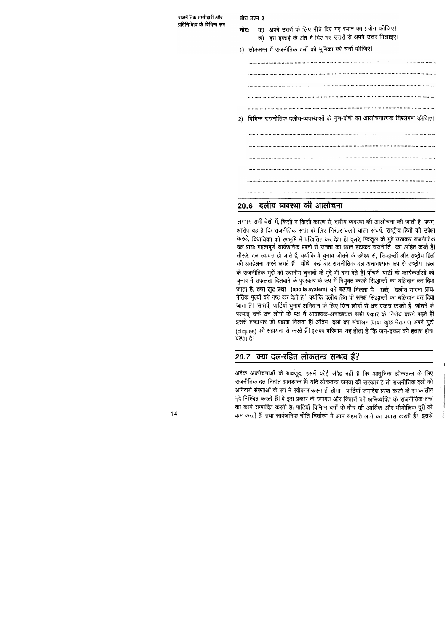बोध प्रश्न 2

क) अपने उत्तरों के लिए नीचे दिए गए स्थान का प्रयोग कीजिए। नोटः ख) इस इकाई के अंत में दिए गए उत्तरों से अपने उत्तर मिलाइए।

1) लोकतन्त्र में राजनीतिक दलों की भूमिका की चर्चा कीजिए।

2) विभिन्न राजनीतिक दलीय-व्यवस्थाओं के गुण-दोषों का आलोचनात्मक विश्लेषण कीजिए।

# 20.6 दलीय व्यवस्था की आलोचना

लगभग सभी देशों में, किसी न किसी कारण से, दलीय व्यवस्था की आलोचना की जाती है। प्रथम, आरोप यह है कि राजनीतिक सत्ता के लिए निरंतर चलने वाला संघर्ष, राष्ट्रीय हितों की उपेक्षा करके, विधायिका को रणभूमि में परिवर्तित कर देता है। दूसरे, फ़िज़ूल के मुद्दे उठाकर राजनीतिक दल प्रायः महत्वपूर्ण सार्वजनिक प्रश्नों से जनता का ध्यान हटाकर राजनीति का अहित करते हैं। तीसरे, दल स्वायत्त हो जाते हैं, क्योंकि वे चुनाव जीतने के उद्देश्य से, सिद्धान्तों और राष्ट्रीय हितों की अवहेलना करने लगते हैं। चौथे, कई बार राजनीतिक दल अनावश्यक रूप से राष्ट्रीय महत्व के राजनीतिक मुद्दों को स्थानीय चुनावों के मुद्दे भी बना देते हैं। पाँचवें, पार्टी के कार्यकर्ताओं को चुनाव में सफलता दिलवाने के पुरस्कार के रूप में नियुक्त करके सिद्धान्तों का बलिदान कर दिया जाता है, तथा लूट प्रथा (spoils system) को बढ़ावा मिलता है। छठे, "दलीय भावना प्रायः नैतिक मूल्यों को नष्ट कर देती है," क्योंकि दलीय हित के समक्ष सिद्धान्तों का बलिदान कर दिया जाता है। 'सातवें, पार्टियाँ चुनाव अभियान के लिए जिन लोगों से धन एकत्र करती हैं जीतने के पश्चात् उन्हें उन लोगों के पक्ष में आवश्यक-अनावश्यक सभी प्रकार के निर्णय करने पड़ते हैं। इससे भ्रष्टाचार को बढ़ावा मिलता है। अंतिम, दलों का संचालन प्रायः कूछ नेतागण अपने गुटों (cliques) की सहायता से करते हैं। इसका परिणाम यह होता है कि जन-इच्छा को हताश होना पड़ता है।

# 20.7 क्या दल-रहित लोकतन्त्र सम्भव है?

अनेक आलोचनाओं के बावजूद, इसमें कोई संदेह नहीं है कि आधुनिक लोकतन्त्र के लिए राजनीतिक दल नितांत आवश्यक हैं। यदि लोकतन्त्र जनता की सरकार है तो राजनीतिक दलों को अनिवार्य संस्थाओं के रूप में स्वीकार करना ही होगा। पार्टियाँ जनादेश प्राप्त करने के समकालीन मुद्दे निश्चित करती हैं। वे इस प्रकार के जनमत और विचारों की अभिव्यक्ति के राजनीतिक तन्त्र का कार्य सम्पादित करती हैं। पार्टियाँ विभिन्न वर्गों के बीच की आर्थिक और भौगोलिक दूरी को कम करती हैं, तथा सार्वजनिक नीति निर्धारण में आम सहमति लाने का प्रयास करती हैं। इसके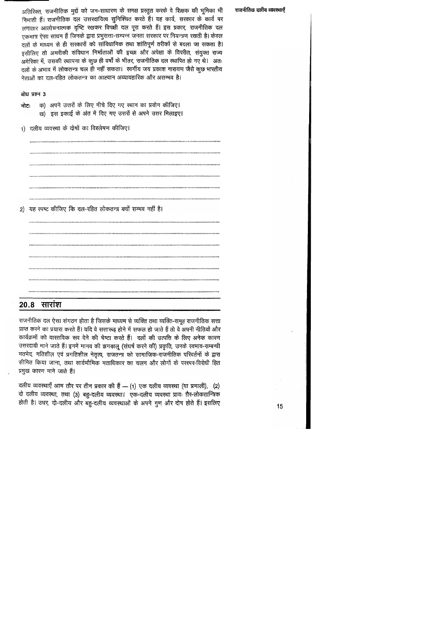अतिरिक्त, राजनीतिक मुद्दों को जन-साधारण के समक्ष प्रस्तुत करके वे शिक्षक की भूमिका भी निभाती हैं। राजनीतिक दल उत्तरदायित्व सुनिश्चित करते हैं। यह कार्य, सरकार के कार्य पर लगातार आलोचनात्मक दृष्टि रखकर विपक्षी दल पूरा करते हैं। इस प्रकार, राजनीतिक दल एकमात्र ऐसा साधन हैं जिनके द्वारा प्रभुसत्ता-सम्पन्न जनता सरकार पर नियन्त्रण रखती है। केवल दलों के माध्यम से ही सरकारों को सांविधानिक तथा शांतिपूर्ण तरीकों से बदला जा सकता है। इसीलिए तो अमरीकी संविधान निर्माताओं की इच्छा और अपेक्षा के विपरीत, संयुक्त राज्य अमेरिका में, उसकी स्थापना के कुछ ही वर्षों के भीतर, राजनीतिक दल स्थापित हो गए थे। अतः दलों के अभाव में लोकतन्त्र चल ही नहीं सकता। स्वर्गीय जय प्रकाश नारायण जैसे कुछ भारतीय नेताओं का दल-रहित लोकतन्त्र का आह्वान अव्यावहारिक और असम्भव है।

#### बोध प्रश्न 3

- क) अपने उत्तरों के लिए नीचे दिए गए स्थान का प्रयोग कीजिए। नोटः ख) इस इकाई के अंत में दिए गए उत्तरों से अपने उत्तर मिलाइए।
- 1) दलीय व्यवस्था के दोषों का विश्लेषण कीजिए।

2) यह स्पष्ट कीजिए कि दल-रहित लोकतन्त्र क्यों सम्भव नहीं है।

## <u>20.8 सारांश</u>

राजनीतिक दल ऐसा संगठन होता है जिसके माध्यम से व्यक्ति तथा व्यक्ति-समूह राजनीतिक सत्ता प्राप्त करने का प्रयास करते हैं। यदि वे सत्तारूढ़ होने में सफल हो जाते हैं तो वे अपनी नीतियों और कार्यक्रमों को वास्तविक रूप देने की चेष्टा करते हैं। दलों की उत्पत्ति के लिए अनेक कारण उत्तरदायी माने जाते हैं। इनमें मानव की झगड़ालू (संघर्ष करने की) प्रकृति, उनके स्वभाव-सम्बन्धी मतभेद, गतिशील एवं प्रगतिशील नेतृत्व, राजतन्त्र को सामाजिक-राजनीतिक परिवर्तनों के द्वारा सीमित किया जाना, तथा सार्वभौमिक मताधिकार का चलन और लोगों के परस्पर-विरोधी हित प्रमुख कारण माने जाते हैं।

दलीय व्यवस्थाएँ आम तौर पर तीन प्रकार की हैं - (1) एक दलीय व्यवस्था (या प्रणाली), (2) दो दलीय व्यवस्था, तथा (3) बहु-दलीय व्यवस्था। एक-दलीय व्यवस्था प्रायः ग़ैर-लोकतान्त्रिक होती है। उधर, दो-दलीय और बहु-दलीय व्यवस्थाओं के अपने गुण और दोष होते हैं। इसलिए

#### राजनीतिक दलीय व्यवस्थाएँ

 $15<sub>2</sub>$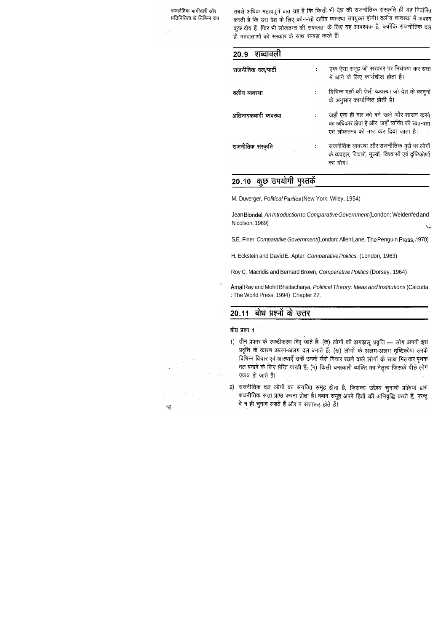$\mathcal{L}_{\text{max}}$  and  $\mathcal{L}_{\text{max}}$  and  $\mathcal{L}_{\text{max}}$ 

सबसे अधिक महत्वपूर्ण बात यह है कि किसी भी देश की राजनीतिक संस्कृति ही यह निर्धारित राषरी जायक गलवनून पात पर है कि तकती का सामानी राष्ट्रीय होगी। दलीय व्यवस्था में अवश्य करता है कि उत्तादन की ता स्वादन को संगीत के लिए यह आवश्यक है, क्योंकि राजनीतिक दल ही मतदाताओं को सरकार के साथ सम्बद्ध करते हैं।

| 20.9 शब्दावली        |                |                                                                                                                                       |
|----------------------|----------------|---------------------------------------------------------------------------------------------------------------------------------------|
| राजनीतिक दल/पार्टी   | $\mathbf{1}$   | एक ऐसा समूह जो सरकार पर नियंत्रण कर सत्ता<br>में आने के लिए कार्यशील होता है।                                                         |
| दलीय व्यवस्था        | $\ddot{\cdot}$ | विभिन्न दलों की ऐसी व्यवस्था जो देश के कानूनों<br>के अनुसार कार्यान्वित होती है।                                                      |
| अधिनायकवादी व्यवस्था |                | जहाँ एक ही दल को बने रहने और शासन करने<br>का अधिकार होता है और  जहाँ व्यक्ति की स्वतन्त्रता<br>एवं लोकतन्त्र को नष्ट कर दिया जाता है। |
| राजनीतिक संस्कृति    |                | :        राजनीतिक व्यवस्था और राजनीतिक मुद्दों पर लोगों<br>के व्यवहार, विचारों, मूल्यों, विश्वासों एवं दृष्टिकोणों<br>का योग।         |

# 20.10 कुछ उपयोगी पुस्तकें

M. Duverger, Political Parties (New York: Wiley, 1954)

Jean Blondel, An Introduction to Comparative Government (London: Weidenfed and Nicolson, 1969) I.

S.E. Finer, Comparative Government (London: Allen Lane, The Penguin Press, 1970)

Amal Ray and Mohit Bhattacharya, Political Theory: Ideas and Institutions (Calcutta : The World Press, 1994) Chapter 27.

## 20.11 बोध प्रश्नों के उत्तर

बोध प्रश्न 1

- 1) तीन प्रकार के स्पष्टीकरण दिए जाते हैं: (क) लोगों की झगड़ालू प्रवृत्ति लोग अपनी इस प्रवृत्ति के कारण अलग-अलग दल बनाते हैं; (ख) लोगों के अलग-अलग दृष्टिकोण उनके विभिन्न विचार एवं आस्थाएँ उन्हें उनके जैसे विचार रखने वाले लोगों के साथ मिलकर पृथक दल बनाने के लिए प्रेरित करती हैं; (ग) किसी चमत्कारी व्यक्ति का नेतृत्व जिसके पीछे लोग एकत्र हो जाते हैं।
- 2) राजनीतिक दल लोगों का संगठित समूह होता है, जिसका उद्देश्य चुनावी प्रक्रिया द्वारा राजनीतिक सत्ता प्राप्त करना होता है। दबाव समूह अपने हितों की अभिवृद्धि करते हैं, परन्तु वे न ही चुनाव लड़ते हैं और न सत्तारूढ़ होते हैं।

16

H. Eckstein and David E. Apter, Comparative Politics, (London, 1963)

Roy C. Macridis and Bernard Brown, Comparative Politics (Dorsey, 1964)